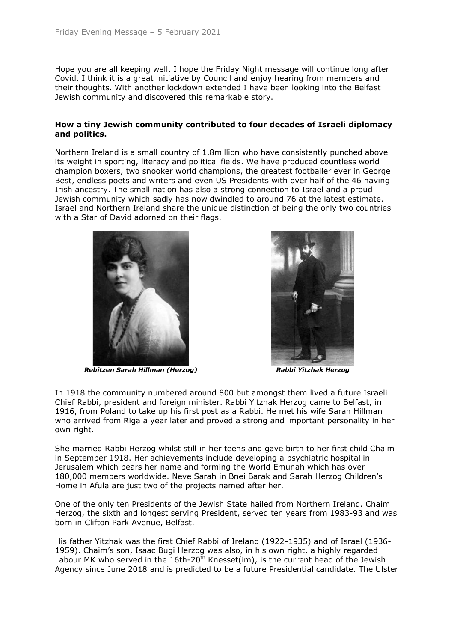Hope you are all keeping well. I hope the Friday Night message will continue long after Covid. I think it is a great initiative by Council and enjoy hearing from members and their thoughts. With another lockdown extended I have been looking into the Belfast Jewish community and discovered this remarkable story.

## **How a tiny Jewish community contributed to four decades of Israeli diplomacy and politics.**

Northern Ireland is a small country of 1.8million who have consistently punched above its weight in sporting, literacy and political fields. We have produced countless world champion boxers, two snooker world champions, the greatest footballer ever in George Best, endless poets and writers and even US Presidents with over half of the 46 having Irish ancestry. The small nation has also a strong connection to Israel and a proud Jewish community which sadly has now dwindled to around 76 at the latest estimate. Israel and Northern Ireland share the unique distinction of being the only two countries with a Star of David adorned on their flags.



*Rebitzen Sarah Hillman (Herzog) Rabbi Yitzhak Herzog*



In 1918 the community numbered around 800 but amongst them lived a future Israeli Chief Rabbi, president and foreign minister. Rabbi Yitzhak Herzog came to Belfast, in 1916, from Poland to take up his first post as a Rabbi. He met his wife Sarah Hillman who arrived from Riga a year later and proved a strong and important personality in her own right.

She married Rabbi Herzog whilst still in her teens and gave birth to her first child Chaim in September 1918. Her achievements include developing a psychiatric hospital in Jerusalem which bears her name and forming the World Emunah which has over 180,000 members worldwide. Neve Sarah in Bnei Barak and Sarah Herzog Children's Home in Afula are just two of the projects named after her.

One of the only ten Presidents of the Jewish State hailed from Northern Ireland. Chaim Herzog, the sixth and longest serving President, served ten years from 1983-93 and was born in Clifton Park Avenue, Belfast.

His father Yitzhak was the first Chief Rabbi of Ireland (1922-1935) and of Israel (1936- 1959). Chaim's son, Isaac Bugi Herzog was also, in his own right, a highly regarded Labour MK who served in the  $16th-20<sup>th</sup>$  Knesset(im), is the current head of the Jewish Agency since June 2018 and is predicted to be a future Presidential candidate. The Ulster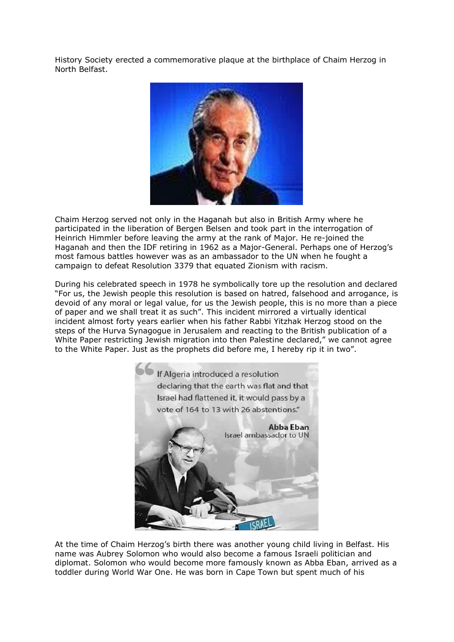History Society erected a commemorative plaque at the birthplace of Chaim Herzog in North Belfast.



Chaim Herzog served not only in the Haganah but also in British Army where he participated in the liberation of Bergen Belsen and took part in the interrogation of Heinrich Himmler before leaving the army at the rank of Major. He re-joined the Haganah and then the IDF retiring in 1962 as a Major-General. Perhaps one of Herzog's most famous battles however was as an ambassador to the UN when he fought a campaign to defeat Resolution 3379 that equated Zionism with racism.

During his celebrated speech in 1978 he symbolically tore up the resolution and declared "For us, the Jewish people this resolution is based on hatred, falsehood and arrogance, is devoid of any moral or legal value, for us the Jewish people, this is no more than a piece of paper and we shall treat it as such". This incident mirrored a virtually identical incident almost forty years earlier when his father Rabbi Yitzhak Herzog stood on the steps of the Hurva Synagogue in Jerusalem and reacting to the British publication of a White Paper restricting Jewish migration into then Palestine declared," we cannot agree to the White Paper. Just as the prophets did before me, I hereby rip it in two".



At the time of Chaim Herzog's birth there was another young child living in Belfast. His name was Aubrey Solomon who would also become a famous Israeli politician and diplomat. Solomon who would become more famously known as Abba Eban, arrived as a toddler during World War One. He was born in Cape Town but spent much of his